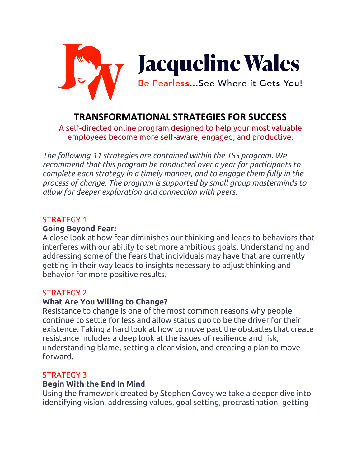

# **TRANSFORMATIONAL STRATEGIES FOR SUCCESS**

A self-directed online program designed to help your most valuable employees become more self-aware, engaged, and productive.

*The following 11 strategies are contained within the TSS program. We recommend that this program be conducted over a year for participants to complete each strategy in a timely manner, and to engage them fully in the process of change. The program is supported by small group masterminds to allow for deeper exploration and connection with peers.* 

## STRATEGY 1

#### **Going Beyond Fear:**

A close look at how fear diminishes our thinking and leads to behaviors that interferes with our ability to set more ambitious goals. Understanding and addressing some of the fears that individuals may have that are currently getting in their way leads to insights necessary to adjust thinking and behavior for more positive results.

## STRATEGY 2

## **What Are You Willing to Change?**

Resistance to change is one of the most common reasons why people continue to settle for less and allow status quo to be the driver for their existence. Taking a hard look at how to move past the obstacles that create resistance includes a deep look at the issues of resilience and risk, understanding blame, setting a clear vision, and creating a plan to move forward.

#### STRATEGY 3

## **Begin With the End In Mind**

Using the framework created by Stephen Covey we take a deeper dive into identifying vision, addressing values, goal setting, procrastination, getting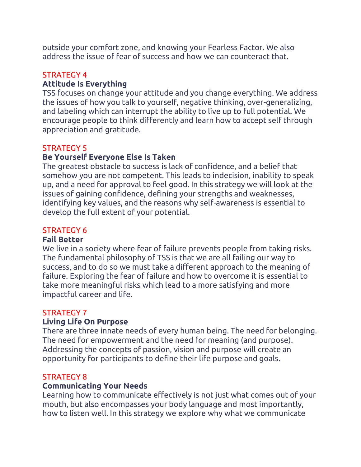outside your comfort zone, and knowing your Fearless Factor. We also address the issue of fear of success and how we can counteract that.

# STRATEGY 4

## **Attitude Is Everything**

TSS focuses on change your attitude and you change everything. We address the issues of how you talk to yourself, negative thinking, over-generalizing, and labeling which can interrupt the ability to live up to full potential. We encourage people to think differently and learn how to accept self through appreciation and gratitude.

#### STRATEGY 5

## **Be Yourself Everyone Else Is Taken**

The greatest obstacle to success is lack of confidence, and a belief that somehow you are not competent. This leads to indecision, inability to speak up, and a need for approval to feel good. In this strategy we will look at the issues of gaining confidence, defining your strengths and weaknesses, identifying key values, and the reasons why self-awareness is essential to develop the full extent of your potential.

## STRATEGY 6

## **Fail Better**

We live in a society where fear of failure prevents people from taking risks. The fundamental philosophy of TSS is that we are all failing our way to success, and to do so we must take a different approach to the meaning of failure. Exploring the fear of failure and how to overcome it is essential to take more meaningful risks which lead to a more satisfying and more impactful career and life.

## STRATEGY 7

## **Living Life On Purpose**

There are three innate needs of every human being. The need for belonging. The need for empowerment and the need for meaning (and purpose). Addressing the concepts of passion, vision and purpose will create an opportunity for participants to define their life purpose and goals.

## STRATEGY 8

## **Communicating Your Needs**

Learning how to communicate effectively is not just what comes out of your mouth, but also encompasses your body language and most importantly, how to listen well. In this strategy we explore why what we communicate